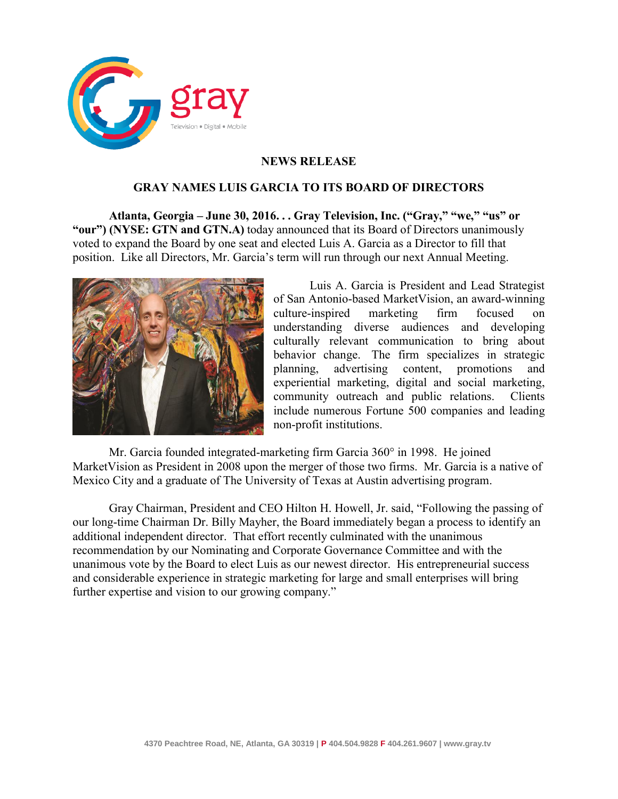

# **NEWS RELEASE**

## **GRAY NAMES LUIS GARCIA TO ITS BOARD OF DIRECTORS**

**Atlanta, Georgia – June 30, 2016. . . Gray Television, Inc. ("Gray," "we," "us" or "our") (NYSE: GTN and GTN.A)** today announced that its Board of Directors unanimously voted to expand the Board by one seat and elected Luis A. Garcia as a Director to fill that position. Like all Directors, Mr. Garcia's term will run through our next Annual Meeting.



Luis A. Garcia is President and Lead Strategist of San Antonio-based MarketVision, an award-winning culture-inspired marketing firm focused on understanding diverse audiences and developing culturally relevant communication to bring about behavior change. The firm specializes in strategic planning, advertising content, promotions and experiential marketing, digital and social marketing, community outreach and public relations. Clients include numerous Fortune 500 companies and leading non-profit institutions.

Mr. Garcia founded integrated-marketing firm Garcia 360° in 1998. He joined MarketVision as President in 2008 upon the merger of those two firms. Mr. Garcia is a native of Mexico City and a graduate of The University of Texas at Austin advertising program.

Gray Chairman, President and CEO Hilton H. Howell, Jr. said, "Following the passing of our long-time Chairman Dr. Billy Mayher, the Board immediately began a process to identify an additional independent director. That effort recently culminated with the unanimous recommendation by our Nominating and Corporate Governance Committee and with the unanimous vote by the Board to elect Luis as our newest director. His entrepreneurial success and considerable experience in strategic marketing for large and small enterprises will bring further expertise and vision to our growing company."